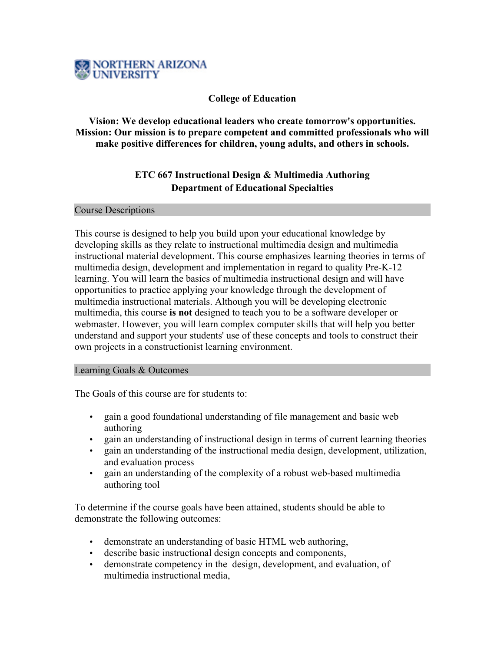

### **College of Education**

# **Vision: We develop educational leaders who create tomorrow's opportunities. Mission: Our mission is to prepare competent and committed professionals who will make positive differences for children, young adults, and others in schools.**

# **ETC 667 Instructional Design & Multimedia Authoring Department of Educational Specialties**

Course Descriptions

This course is designed to help you build upon your educational knowledge by developing skills as they relate to instructional multimedia design and multimedia instructional material development. This course emphasizes learning theories in terms of multimedia design, development and implementation in regard to quality Pre-K-12 learning. You will learn the basics of multimedia instructional design and will have opportunities to practice applying your knowledge through the development of multimedia instructional materials. Although you will be developing electronic multimedia, this course **is not** designed to teach you to be a software developer or webmaster. However, you will learn complex computer skills that will help you better understand and support your students' use of these concepts and tools to construct their own projects in a constructionist learning environment.

#### Learning Goals & Outcomes

The Goals of this course are for students to:

- gain a good foundational understanding of file management and basic web authoring
- gain an understanding of instructional design in terms of current learning theories
- gain an understanding of the instructional media design, development, utilization, and evaluation process
- gain an understanding of the complexity of a robust web-based multimedia authoring tool

To determine if the course goals have been attained, students should be able to demonstrate the following outcomes:

- demonstrate an understanding of basic HTML web authoring,
- describe basic instructional design concepts and components,
- demonstrate competency in the design, development, and evaluation, of multimedia instructional media,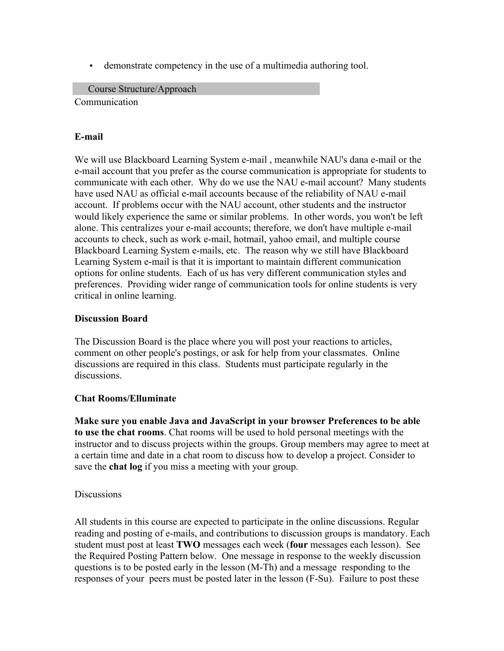• demonstrate competency in the use of a multimedia authoring tool.

Course Structure/Approach Communication

# **E-mail**

We will use Blackboard Learning System e-mail , meanwhile NAU's dana e-mail or the e-mail account that you prefer as the course communication is appropriate for students to communicate with each other. Why do we use the NAU e-mail account? Many students have used NAU as official e-mail accounts because of the reliability of NAU e-mail account. If problems occur with the NAU account, other students and the instructor would likely experience the same or similar problems. In other words, you won't be left alone. This centralizes your e-mail accounts; therefore, we don't have multiple e-mail accounts to check, such as work e-mail, hotmail, yahoo email, and multiple course Blackboard Learning System e-mails, etc. The reason why we still have Blackboard Learning System e-mail is that it is important to maintain different communication options for online students. Each of us has very different communication styles and preferences. Providing wider range of communication tools for online students is very critical in online learning.

### **Discussion Board**

The Discussion Board is the place where you will post your reactions to articles, comment on other people's postings, or ask for help from your classmates. Online discussions are required in this class. Students must participate regularly in the discussions.

#### **Chat Rooms/Elluminate**

**Make sure you enable Java and JavaScript in your browser Preferences to be able to use the chat rooms**. Chat rooms will be used to hold personal meetings with the instructor and to discuss projects within the groups. Group members may agree to meet at a certain time and date in a chat room to discuss how to develop a project. Consider to save the **chat log** if you miss a meeting with your group.

#### **Discussions**

All students in this course are expected to participate in the online discussions. Regular reading and posting of e-mails, and contributions to discussion groups is mandatory. Each student must post at least **TWO** messages each week (**four** messages each lesson). See the Required Posting Pattern below. One message in response to the weekly discussion questions is to be posted early in the lesson (M-Th) and a message responding to the responses of your peers must be posted later in the lesson (F-Su). Failure to post these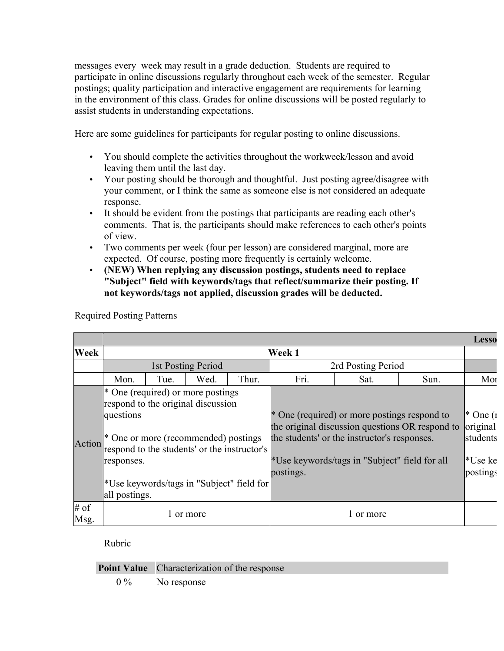messages every week may result in a grade deduction. Students are required to participate in online discussions regularly throughout each week of the semester. Regular postings; quality participation and interactive engagement are requirements for learning in the environment of this class. Grades for online discussions will be posted regularly to assist students in understanding expectations.

Here are some guidelines for participants for regular posting to online discussions.

- You should complete the activities throughout the workweek/lesson and avoid leaving them until the last day.
- Your posting should be thorough and thoughtful. Just posting agree/disagree with your comment, or I think the same as someone else is not considered an adequate response.
- It should be evident from the postings that participants are reading each other's comments. That is, the participants should make references to each other's points of view.
- Two comments per week (four per lesson) are considered marginal, more are expected. Of course, posting more frequently is certainly welcome.
- **(NEW) When replying any discussion postings, students need to replace "Subject" field with keywords/tags that reflect/summarize their posting. If not keywords/tags not applied, discussion grades will be deducted.**

|                |                                          |      |                                                                                                                                                                                                              |       |           |                                                                                                                                                                                                           |      | <b>Lesso</b>                                     |
|----------------|------------------------------------------|------|--------------------------------------------------------------------------------------------------------------------------------------------------------------------------------------------------------------|-------|-----------|-----------------------------------------------------------------------------------------------------------------------------------------------------------------------------------------------------------|------|--------------------------------------------------|
| Week           |                                          |      |                                                                                                                                                                                                              |       | Week 1    |                                                                                                                                                                                                           |      |                                                  |
|                |                                          |      | 1st Posting Period                                                                                                                                                                                           |       |           | 2rd Posting Period                                                                                                                                                                                        |      |                                                  |
|                | Mon.                                     | Tue. | Wed.                                                                                                                                                                                                         | Thur. | Fri.      | Sat.                                                                                                                                                                                                      | Sun. | Mor                                              |
| Action         | questions<br>responses.<br>all postings. |      | * One (required) or more postings<br>respond to the original discussion<br>* One or more (recommended) postings<br>respond to the students' or the instructor's<br>*Use keywords/tags in "Subject" field for |       | postings. | * One (required) or more postings respond to<br>the original discussion questions OR respond to original<br>the students' or the instructor's responses.<br>*Use keywords/tags in "Subject" field for all |      | $*$ One $(1)$<br>students<br>*Use ke<br>postings |
| $#$ of<br>Msg. |                                          |      | or more                                                                                                                                                                                                      |       |           | or more                                                                                                                                                                                                   |      |                                                  |

Required Posting Patterns

Rubric

**Point Value** Characterization of the response

0 % No response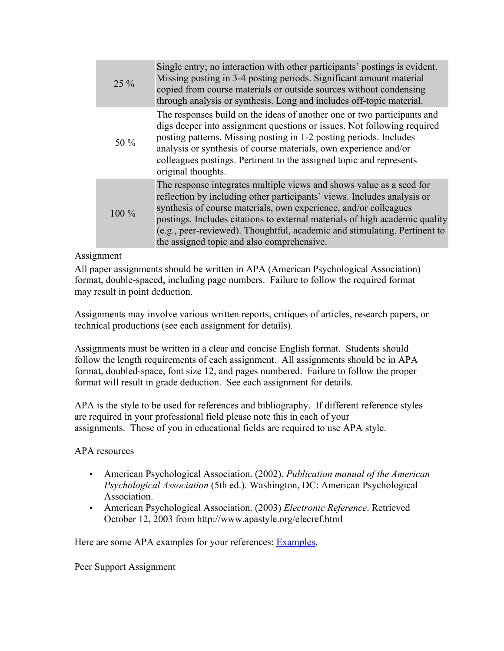| $25\%$  | Single entry; no interaction with other participants' postings is evident.<br>Missing posting in 3-4 posting periods. Significant amount material<br>copied from course materials or outside sources without condensing<br>through analysis or synthesis. Long and includes off-topic material.                                                                                                                               |
|---------|-------------------------------------------------------------------------------------------------------------------------------------------------------------------------------------------------------------------------------------------------------------------------------------------------------------------------------------------------------------------------------------------------------------------------------|
| 50 $\%$ | The responses build on the ideas of another one or two participants and<br>digs deeper into assignment questions or issues. Not following required<br>posting patterns. Missing posting in 1-2 posting periods. Includes<br>analysis or synthesis of course materials, own experience and/or<br>colleagues postings. Pertinent to the assigned topic and represents<br>original thoughts.                                     |
| $100\%$ | The response integrates multiple views and shows value as a seed for<br>reflection by including other participants' views. Includes analysis or<br>synthesis of course materials, own experience, and/or colleagues<br>postings. Includes citations to external materials of high academic quality<br>(e.g., peer-reviewed). Thoughtful, academic and stimulating. Pertinent to<br>the assigned topic and also comprehensive. |

# Assignment

All paper assignments should be written in APA (American Psychological Association) format, double-spaced, including page numbers. Failure to follow the required format may result in point deduction.

Assignments may involve various written reports, critiques of articles, research papers, or technical productions (see each assignment for details).

Assignments must be written in a clear and concise English format. Students should follow the length requirements of each assignment. All assignments should be in APA format, doubled-space, font size 12, and pages numbered. Failure to follow the proper format will result in grade deduction. See each assignment for details.

APA is the style to be used for references and bibliography. If different reference styles are required in your professional field please note this in each of your assignments. Those of you in educational fields are required to use APA style.

APA resources

- American Psychological Association. (2002). *Publication manual of the American Psychological Association* (5th ed.). Washington, DC: American Psychological Association.
- American Psychological Association. (2003) *Electronic Reference*. Retrieved October 12, 2003 from http://www.apastyle.org/elecref.html

Here are some APA examples for your references: Examples.

Peer Support Assignment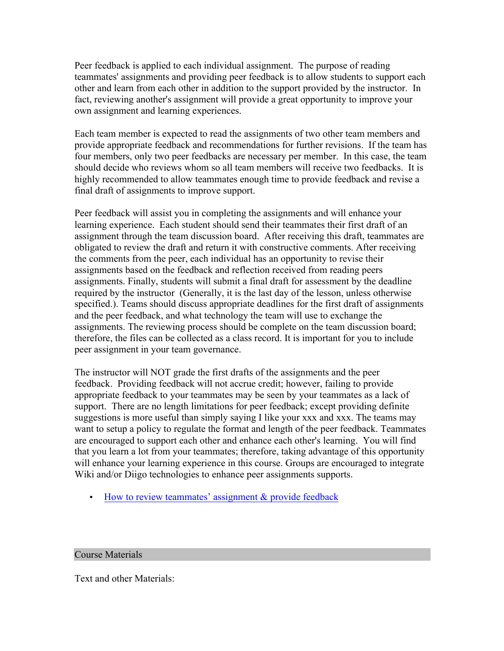Peer feedback is applied to each individual assignment. The purpose of reading teammates' assignments and providing peer feedback is to allow students to support each other and learn from each other in addition to the support provided by the instructor. In fact, reviewing another's assignment will provide a great opportunity to improve your own assignment and learning experiences.

Each team member is expected to read the assignments of two other team members and provide appropriate feedback and recommendations for further revisions. If the team has four members, only two peer feedbacks are necessary per member. In this case, the team should decide who reviews whom so all team members will receive two feedbacks. It is highly recommended to allow teammates enough time to provide feedback and revise a final draft of assignments to improve support.

Peer feedback will assist you in completing the assignments and will enhance your learning experience. Each student should send their teammates their first draft of an assignment through the team discussion board. After receiving this draft, teammates are obligated to review the draft and return it with constructive comments. After receiving the comments from the peer, each individual has an opportunity to revise their assignments based on the feedback and reflection received from reading peers assignments. Finally, students will submit a final draft for assessment by the deadline required by the instructor (Generally, it is the last day of the lesson, unless otherwise specified.). Teams should discuss appropriate deadlines for the first draft of assignments and the peer feedback, and what technology the team will use to exchange the assignments. The reviewing process should be complete on the team discussion board; therefore, the files can be collected as a class record. It is important for you to include peer assignment in your team governance.

The instructor will NOT grade the first drafts of the assignments and the peer feedback. Providing feedback will not accrue credit; however, failing to provide appropriate feedback to your teammates may be seen by your teammates as a lack of support. There are no length limitations for peer feedback; except providing definite suggestions is more useful than simply saying I like your xxx and xxx. The teams may want to setup a policy to regulate the format and length of the peer feedback. Teammates are encouraged to support each other and enhance each other's learning. You will find that you learn a lot from your teammates; therefore, taking advantage of this opportunity will enhance your learning experience in this course. Groups are encouraged to integrate Wiki and/or Diigo technologies to enhance peer assignments supports.

• How to review teammates' assignment & provide feedback

#### Course Materials

Text and other Materials: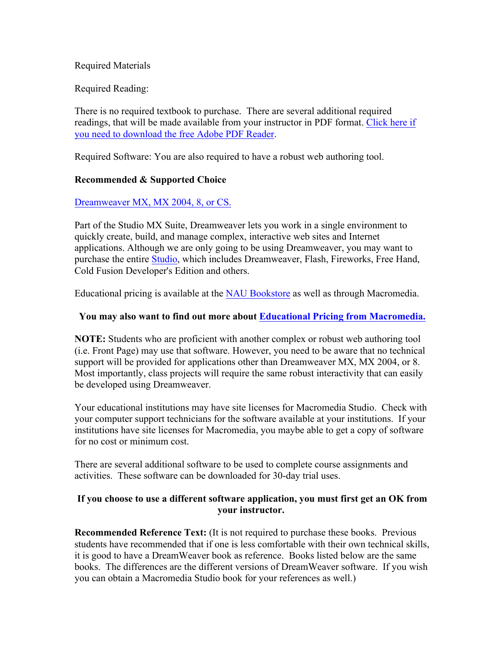### Required Materials

Required Reading:

There is no required textbook to purchase. There are several additional required readings, that will be made available from your instructor in PDF format. Click here if you need to download the free Adobe PDF Reader.

Required Software: You are also required to have a robust web authoring tool.

### **Recommended & Supported Choice**

### Dreamweaver MX, MX 2004, 8, or CS.

Part of the Studio MX Suite, Dreamweaver lets you work in a single environment to quickly create, build, and manage complex, interactive web sites and Internet applications. Although we are only going to be using Dreamweaver, you may want to purchase the entire Studio, which includes Dreamweaver, Flash, Fireworks, Free Hand, Cold Fusion Developer's Edition and others.

Educational pricing is available at the NAU Bookstore as well as through Macromedia.

### **You may also want to find out more about Educational Pricing from Macromedia.**

**NOTE:** Students who are proficient with another complex or robust web authoring tool (i.e. Front Page) may use that software. However, you need to be aware that no technical support will be provided for applications other than Dreamweaver MX, MX 2004, or 8. Most importantly, class projects will require the same robust interactivity that can easily be developed using Dreamweaver.

Your educational institutions may have site licenses for Macromedia Studio. Check with your computer support technicians for the software available at your institutions. If your institutions have site licenses for Macromedia, you maybe able to get a copy of software for no cost or minimum cost.

There are several additional software to be used to complete course assignments and activities. These software can be downloaded for 30-day trial uses.

### **If you choose to use a different software application, you must first get an OK from your instructor.**

**Recommended Reference Text:** (It is not required to purchase these books. Previous students have recommended that if one is less comfortable with their own technical skills, it is good to have a DreamWeaver book as reference. Books listed below are the same books. The differences are the different versions of DreamWeaver software. If you wish you can obtain a Macromedia Studio book for your references as well.)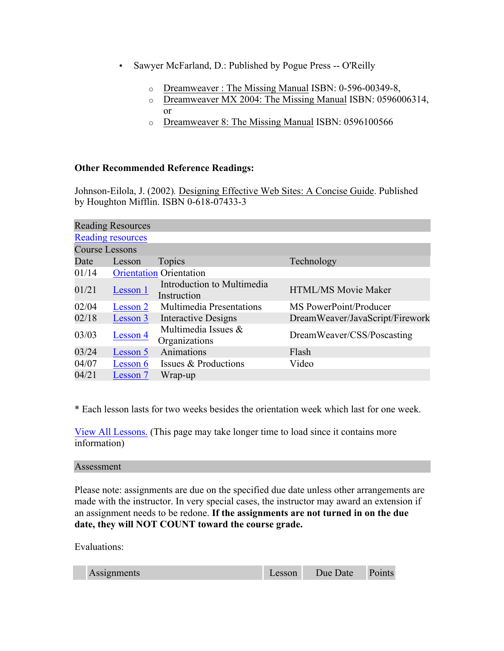- Sawyer McFarland, D.: Published by Pogue Press -- O'Reilly
	- o Dreamweaver : The Missing Manual ISBN: 0-596-00349-8,
	- o Dreamweaver MX 2004: The Missing Manual ISBN: 0596006314, or
	- o Dreamweaver 8: The Missing Manual ISBN: 0596100566

# **Other Recommended Reference Readings:**

Johnson-Eilola, J. (2002)*.* Designing Effective Web Sites: A Concise Guide. Published by Houghton Mifflin. ISBN 0-618-07433-3

|                          | <b>Reading Resources</b> |                                           |                                 |  |  |  |
|--------------------------|--------------------------|-------------------------------------------|---------------------------------|--|--|--|
| <b>Reading resources</b> |                          |                                           |                                 |  |  |  |
| <b>Course Lessons</b>    |                          |                                           |                                 |  |  |  |
| Date                     | Lesson                   | Topics                                    | Technology                      |  |  |  |
| 01/14                    |                          | <b>Orientation Orientation</b>            |                                 |  |  |  |
| 01/21                    | Lesson 1                 | Introduction to Multimedia<br>Instruction | HTML/MS Movie Maker             |  |  |  |
| 02/04                    | Lesson 2                 | <b>Multimedia Presentations</b>           | MS PowerPoint/Producer          |  |  |  |
| 02/18                    | Lesson 3                 | <b>Interactive Designs</b>                | DreamWeaver/JavaScript/Firework |  |  |  |
| 03/03                    | Lesson 4                 | Multimedia Issues &<br>Organizations      | DreamWeaver/CSS/Poscasting      |  |  |  |
| 03/24                    | Lesson 5                 | Animations                                | Flash                           |  |  |  |
| 04/07                    | Lesson 6                 | Issues & Productions                      | Video                           |  |  |  |
| 04/21                    | Lesson 7                 | Wrap-up                                   |                                 |  |  |  |

\* Each lesson lasts for two weeks besides the orientation week which last for one week.

View All Lessons. (This page may take longer time to load since it contains more information)

#### Assessment

Please note: assignments are due on the specified due date unless other arrangements are made with the instructor. In very special cases, the instructor may award an extension if an assignment needs to be redone. **If the assignments are not turned in on the due date, they will NOT COUNT toward the course grade.**

Evaluations:

| Assignments | Lesson | Due Date Points |  |
|-------------|--------|-----------------|--|
|             |        |                 |  |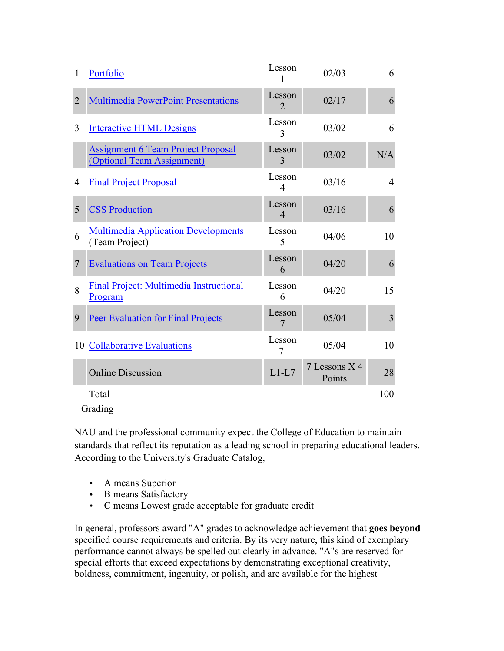| 1              | Portfolio                                                               | Lesson<br>1                           | 02/03                   | 6              |
|----------------|-------------------------------------------------------------------------|---------------------------------------|-------------------------|----------------|
| $\overline{2}$ | <b>Multimedia PowerPoint Presentations</b>                              | Lesson<br>$\mathcal{D}_{\mathcal{L}}$ | 02/17                   | 6              |
| 3              | <b>Interactive HTML Designs</b>                                         | Lesson<br>3                           | 03/02                   | 6              |
|                | <b>Assignment 6 Team Project Proposal</b><br>(Optional Team Assignment) | Lesson<br>3                           | 03/02                   | N/A            |
| $\overline{4}$ | <b>Final Project Proposal</b>                                           | Lesson<br>$\overline{4}$              | 03/16                   | $\overline{4}$ |
| 5              | <b>CSS Production</b>                                                   | Lesson<br>$\overline{\mathcal{A}}$    | 03/16                   | 6              |
| 6              | <b>Multimedia Application Developments</b><br>(Team Project)            | Lesson<br>5                           | 04/06                   | 10             |
| $\overline{7}$ | <b>Evaluations on Team Projects</b>                                     | Lesson<br>6                           | 04/20                   | 6              |
| 8              | Final Project: Multimedia Instructional<br>Program                      | Lesson<br>6                           | 04/20                   | 15             |
| 9              | <b>Peer Evaluation for Final Projects</b>                               | Lesson<br>7                           | 05/04                   | 3              |
|                | 10 Collaborative Evaluations                                            | Lesson<br>7                           | 05/04                   | 10             |
|                | <b>Online Discussion</b>                                                | $L1-L7$                               | 7 Lessons X 4<br>Points | 28             |
|                | Total                                                                   |                                       |                         | 100            |

Grading

NAU and the professional community expect the College of Education to maintain standards that reflect its reputation as a leading school in preparing educational leaders. According to the University's Graduate Catalog,

- A means Superior
- B means Satisfactory
- C means Lowest grade acceptable for graduate credit

In general, professors award "A" grades to acknowledge achievement that **goes beyond** specified course requirements and criteria. By its very nature, this kind of exemplary performance cannot always be spelled out clearly in advance. "A"s are reserved for special efforts that exceed expectations by demonstrating exceptional creativity, boldness, commitment, ingenuity, or polish, and are available for the highest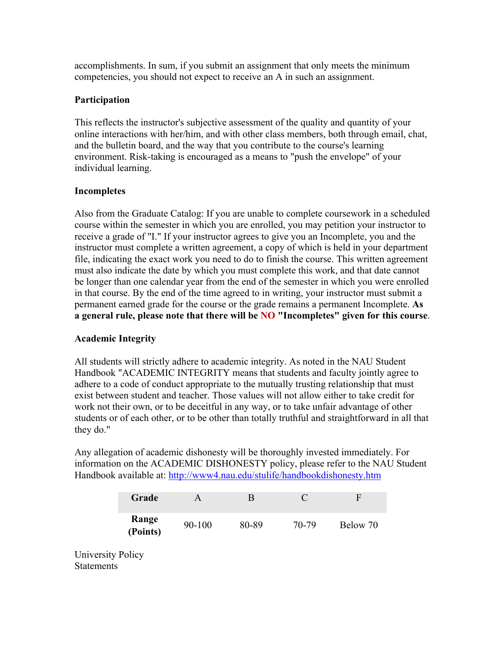accomplishments. In sum, if you submit an assignment that only meets the minimum competencies, you should not expect to receive an A in such an assignment.

# **Participation**

This reflects the instructor's subjective assessment of the quality and quantity of your online interactions with her/him, and with other class members, both through email, chat, and the bulletin board, and the way that you contribute to the course's learning environment. Risk-taking is encouraged as a means to "push the envelope" of your individual learning.

# **Incompletes**

Also from the Graduate Catalog: If you are unable to complete coursework in a scheduled course within the semester in which you are enrolled, you may petition your instructor to receive a grade of "I." If your instructor agrees to give you an Incomplete, you and the instructor must complete a written agreement, a copy of which is held in your department file, indicating the exact work you need to do to finish the course. This written agreement must also indicate the date by which you must complete this work, and that date cannot be longer than one calendar year from the end of the semester in which you were enrolled in that course. By the end of the time agreed to in writing, your instructor must submit a permanent earned grade for the course or the grade remains a permanent Incomplete. **As a general rule, please note that there will be NO "Incompletes" given for this course**.

# **Academic Integrity**

All students will strictly adhere to academic integrity. As noted in the NAU Student Handbook "ACADEMIC INTEGRITY means that students and faculty jointly agree to adhere to a code of conduct appropriate to the mutually trusting relationship that must exist between student and teacher. Those values will not allow either to take credit for work not their own, or to be deceitful in any way, or to take unfair advantage of other students or of each other, or to be other than totally truthful and straightforward in all that they do."

Any allegation of academic dishonesty will be thoroughly invested immediately. For information on the ACADEMIC DISHONESTY policy, please refer to the NAU Student Handbook available at: http://www4.nau.edu/stulife/handbookdishonesty.htm

| Grade             |            | R     |       | F        |
|-------------------|------------|-------|-------|----------|
| Range<br>(Points) | $90 - 100$ | 80-89 | 70-79 | Below 70 |

University Policy **Statements**